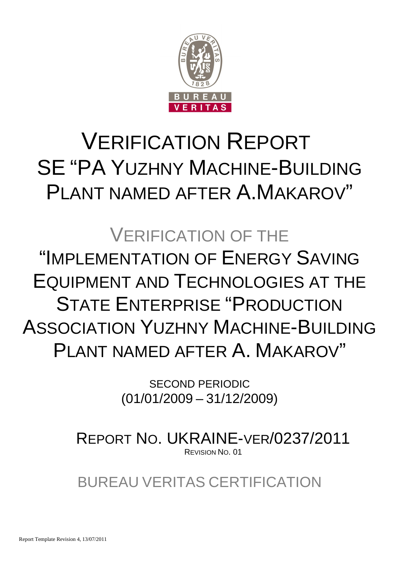

# VERIFICATION REPORT SE "PA YUZHNY MACHINE-BUILDING PLANT NAMED AFTER A.MAKAROV"

# VERIFICATION OF THE "IMPLEMENTATION OF ENERGY SAVING EQUIPMENT AND TECHNOLOGIES AT THE STATE ENTERPRISE "PRODUCTION ASSOCIATION YUZHNY MACHINE-BUILDING PLANT NAMED AFTER A. MAKAROV"

SECOND PERIODIC (01/01/2009 – 31/12/2009)

REPORT NO. UKRAINE-VER/0237/2011 REVISION NO. 01

BUREAU VERITAS CERTIFICATION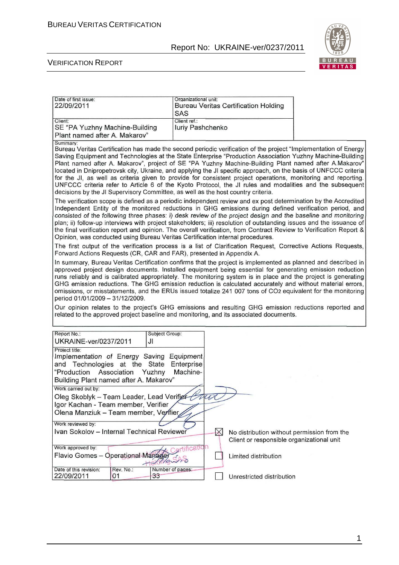

#### VERIFICATION REPORT

| Date of first issue:<br>22/09/2011                                                                                                                                                                                                                                                                                                                                                                                                                                                                                                                                                                                                                                                                                                                                                    | Organizational unit:<br><b>Bureau Veritas Certification Holding</b><br><b>SAS</b> |                                                                   |
|---------------------------------------------------------------------------------------------------------------------------------------------------------------------------------------------------------------------------------------------------------------------------------------------------------------------------------------------------------------------------------------------------------------------------------------------------------------------------------------------------------------------------------------------------------------------------------------------------------------------------------------------------------------------------------------------------------------------------------------------------------------------------------------|-----------------------------------------------------------------------------------|-------------------------------------------------------------------|
| Client:<br>SE "PA Yuzhny Machine-Building<br>Plant named after A. Makarov"                                                                                                                                                                                                                                                                                                                                                                                                                                                                                                                                                                                                                                                                                                            | Client ref.:<br><b>Iuriy Pashchenko</b>                                           |                                                                   |
| Summary:<br>Bureau Veritas Certification has made the second periodic verification of the project "Implementation of Energy<br>Saving Equipment and Technologies at the State Enterprise "Production Association Yuzhny Machine-Building<br>Plant named after A. Makarov", project of SE "PA Yuzhny Machine-Building Plant named after A.Makarov"<br>located in Dnipropetrovsk city, Ukraine, and applying the JI specific approach, on the basis of UNFCCC criteria<br>for the JI, as well as criteria given to provide for consistent project operations, monitoring and reporting.<br>UNFCCC criteria refer to Article 6 of the Kyoto Protocol, the JI rules and modalities and the subsequent<br>decisions by the JI Supervisory Committee, as well as the host country criteria. |                                                                                   |                                                                   |
| The verification scope is defined as a periodic independent review and ex post determination by the Accredited<br>Independent Entity of the monitored reductions in GHG emissions during defined verification period, and<br>consisted of the following three phases: i) desk review of the project design and the baseline and monitoring<br>plan; ii) follow-up interviews with project stakeholders; iii) resolution of outstanding issues and the issuance of<br>the final verification report and opinion. The overall verification, from Contract Review to Verification Report &<br>Opinion, was conducted using Bureau Veritas Certification internal procedures.                                                                                                             |                                                                                   |                                                                   |
| The first output of the verification process is a list of Clarification Request, Corrective Actions Requests,<br>Forward Actions Requests (CR, CAR and FAR), presented in Appendix A.                                                                                                                                                                                                                                                                                                                                                                                                                                                                                                                                                                                                 |                                                                                   |                                                                   |
| In summary, Bureau Veritas Certification confirms that the project is implemented as planned and described in<br>approved project design documents. Installed equipment being essential for generating emission reduction<br>runs reliably and is calibrated appropriately. The monitoring system is in place and the project is generating<br>GHG emission reductions. The GHG emission reduction is calculated accurately and without material errors,<br>omissions, or misstatements, and the ERUs issued totalize 241 007 tons of CO2 equivalent for the monitoring<br>period 01/01/2009 - 31/12/2009.                                                                                                                                                                            |                                                                                   |                                                                   |
| Our opinion relates to the project's GHG emissions and resulting GHG emission reductions reported and<br>related to the approved project baseline and monitoring, and its associated documents.                                                                                                                                                                                                                                                                                                                                                                                                                                                                                                                                                                                       |                                                                                   |                                                                   |
| Report No.:<br>Subject Group:<br>UKRAINE-ver/0237/2011<br>JI                                                                                                                                                                                                                                                                                                                                                                                                                                                                                                                                                                                                                                                                                                                          |                                                                                   |                                                                   |
| Project title:<br>Implementation of Energy Saving Equipment<br>and Technologies at the State<br>"Production<br>Association<br>Yuzhny                                                                                                                                                                                                                                                                                                                                                                                                                                                                                                                                                                                                                                                  | Enterprise<br>Machine-                                                            |                                                                   |
| Building Plant named after A. Makarov"                                                                                                                                                                                                                                                                                                                                                                                                                                                                                                                                                                                                                                                                                                                                                |                                                                                   |                                                                   |
| Work carried out by:<br>Oleg Skoblyk - Team Leader, Lead Verifier Caco<br>Igor Kachan - Team member, Verifier<br>Olena Manziuk - Team member, Verifier                                                                                                                                                                                                                                                                                                                                                                                                                                                                                                                                                                                                                                |                                                                                   |                                                                   |
| Work reviewed by:<br>Ivan Sokolov - Internal Technical Reviewer                                                                                                                                                                                                                                                                                                                                                                                                                                                                                                                                                                                                                                                                                                                       | $\bowtie$                                                                         | No distribution without permission from the                       |
| Work approved by:<br>Flavio Gomes - Operational Manage                                                                                                                                                                                                                                                                                                                                                                                                                                                                                                                                                                                                                                                                                                                                | cation                                                                            | Client or responsible organizational unit<br>Limited distribution |
| Date of this revision:<br>Rev. No.:<br>22/09/2011<br>01<br>33                                                                                                                                                                                                                                                                                                                                                                                                                                                                                                                                                                                                                                                                                                                         | Number of pages:                                                                  | Unrestricted distribution                                         |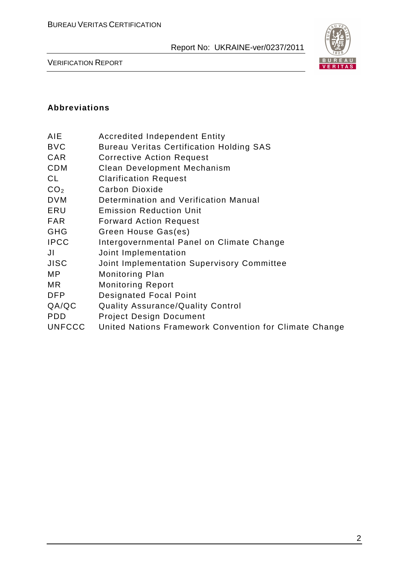

VERIFICATION REPORT

### **Abbreviations**

| AIE | <b>Accredited Independent Entity</b> |  |
|-----|--------------------------------------|--|
|     |                                      |  |

- BVC Bureau Veritas Certification Holding SAS
- CAR Corrective Action Request
- CDM Clean Development Mechanism
- CL Clarification Request
- CO<sub>2</sub> Carbon Dioxide
- DVM Determination and Verification Manual
- ERU Emission Reduction Unit
- FAR Forward Action Request
- GHG Green House Gas(es)
- IPCC Intergovernmental Panel on Climate Change
- JI Joint Implementation
- JISC Joint Implementation Supervisory Committee
- MP Monitoring Plan
- MR Monitoring Report
- DFP Designated Focal Point
- QA/QC Quality Assurance/Quality Control
- PDD Project Design Document
- UNFCCC United Nations Framework Convention for Climate Change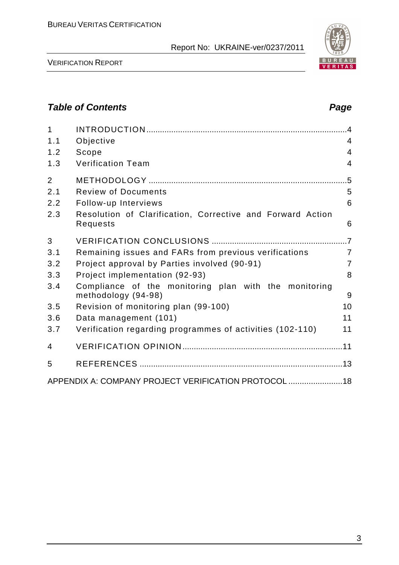

VERIFICATION REPORT

# **Table of Contents Page 2018**

| $\mathbf{1}$   |                                                                              | $\overline{A}$ |
|----------------|------------------------------------------------------------------------------|----------------|
| 1.1            | Objective                                                                    | $\overline{4}$ |
| 1.2            | Scope                                                                        | 4              |
| 1.3            | <b>Verification Team</b>                                                     | $\overline{4}$ |
| $\overline{2}$ |                                                                              |                |
| 2.1            | <b>Review of Documents</b>                                                   | 5              |
| 2.2            | Follow-up Interviews                                                         | 6              |
| 2.3            | Resolution of Clarification, Corrective and Forward Action<br>Requests       | 6              |
| 3              |                                                                              |                |
| 3.1            | Remaining issues and FARs from previous verifications                        | $\overline{7}$ |
| 3.2            | Project approval by Parties involved (90-91)                                 | $\overline{7}$ |
| 3.3            | Project implementation (92-93)                                               | 8              |
| 3.4            | Compliance of the monitoring plan with the monitoring<br>methodology (94-98) | 9              |
| 3.5            | Revision of monitoring plan (99-100)                                         | 10             |
| 3.6            | Data management (101)                                                        | 11             |
| 3.7            | Verification regarding programmes of activities (102-110)                    | 11             |
| 4              |                                                                              |                |
| 5              |                                                                              |                |
|                | APPENDIX A: COMPANY PROJECT VERIFICATION PROTOCOL  18                        |                |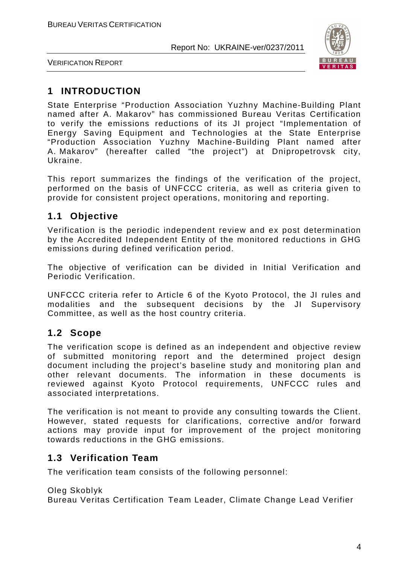

VERIFICATION REPORT

# **1 INTRODUCTION**

State Enterprise "Production Association Yuzhny Machine-Building Plant named after A. Makarov" has commissioned Bureau Veritas Certification to verify the emissions reductions of its JI project "Implementation of Energy Saving Equipment and Technologies at the State Enterprise "Production Association Yuzhny Machine-Building Plant named after A. Makarov" (hereafter called "the project") at Dnipropetrovsk city, Ukraine.

This report summarizes the findings of the verification of the project, performed on the basis of UNFCCC criteria, as well as criteria given to provide for consistent project operations, monitoring and reporting.

# **1.1 Objective**

Verification is the periodic independent review and ex post determination by the Accredited Independent Entity of the monitored reductions in GHG emissions during defined verification period.

The objective of verification can be divided in Initial Verification and Periodic Verification.

UNFCCC criteria refer to Article 6 of the Kyoto Protocol, the JI rules and modalities and the subsequent decisions by the JI Supervisory Committee, as well as the host country criteria.

# **1.2 Scope**

The verification scope is defined as an independent and objective review of submitted monitoring report and the determined project design document including the project's baseline study and monitoring plan and other relevant documents. The information in these documents is reviewed against Kyoto Protocol requirements, UNFCCC rules and associated interpretations.

The verification is not meant to provide any consulting towards the Client. However, stated requests for clarifications, corrective and/or forward actions may provide input for improvement of the project monitoring towards reductions in the GHG emissions.

# **1.3 Verification Team**

The verification team consists of the following personnel:

Oleg Skoblyk

Bureau Veritas Certification Team Leader, Climate Change Lead Verifier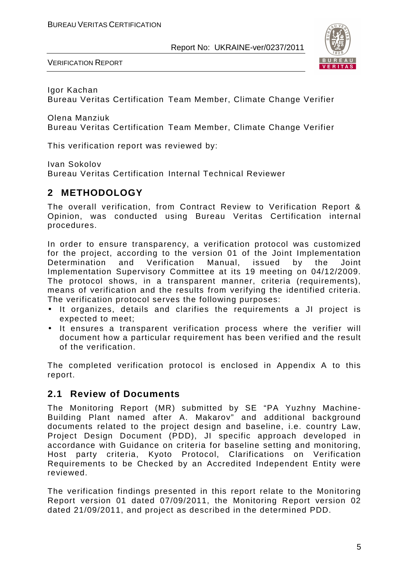

VERIFICATION REPORT

Igor Kachan

Bureau Veritas Certification Team Member, Climate Change Verifier

Olena Manziuk

Bureau Veritas Certification Team Member, Climate Change Verifier

This verification report was reviewed by:

Ivan Sokolov

Bureau Veritas Certification Internal Technical Reviewer

# **2 METHODOLOGY**

The overall verification, from Contract Review to Verification Report & Opinion, was conducted using Bureau Veritas Certification internal procedures.

In order to ensure transparency, a verification protocol was customized for the project, according to the version 01 of the Joint Implementation Determination and Verification Manual, issued by the Joint Implementation Supervisory Committee at its 19 meeting on 04/12/2009. The protocol shows, in a transparent manner, criteria (requirements), means of verification and the results from verifying the identified criteria. The verification protocol serves the following purposes:

- It organizes, details and clarifies the requirements a JI project is expected to meet;
- It ensures a transparent verification process where the verifier will document how a particular requirement has been verified and the result of the verification.

The completed verification protocol is enclosed in Appendix A to this report.

# **2.1 Review of Documents**

The Monitoring Report (MR) submitted by SE "PA Yuzhny Machine-Building Plant named after A. Makarov" and additional background documents related to the project design and baseline, i.e. country Law, Project Design Document (PDD), JI specific approach developed in accordance with Guidance on criteria for baseline setting and monitoring, Host party criteria, Kyoto Protocol, Clarifications on Verification Requirements to be Checked by an Accredited Independent Entity were reviewed.

The verification findings presented in this report relate to the Monitoring Report version 01 dated 07/09/2011, the Monitoring Report version 02 dated 21/09/2011, and project as described in the determined PDD.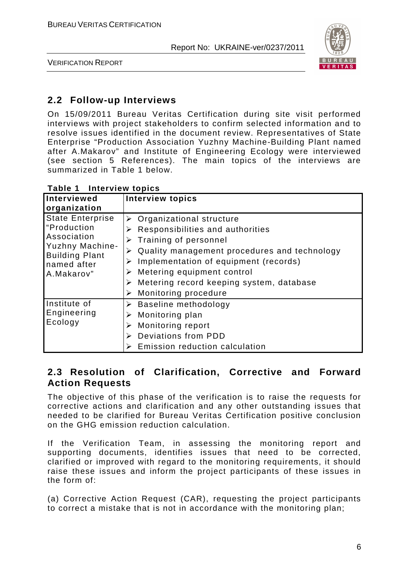

VERIFICATION REPORT

# **2.2 Follow-up Interviews**

On 15/09/2011 Bureau Veritas Certification during site visit performed interviews with project stakeholders to confirm selected information and to resolve issues identified in the document review. Representatives of State Enterprise "Production Association Yuzhny Machine-Building Plant named after A.Makarov" and Institute of Engineering Ecology were interviewed (see section 5 References). The main topics of the interviews are summarized in Table 1 below.

| Interviewed<br>organization                                                                                                           | <b>Interview topics</b>                                                                                                                                                                                                                                                                                                                            |
|---------------------------------------------------------------------------------------------------------------------------------------|----------------------------------------------------------------------------------------------------------------------------------------------------------------------------------------------------------------------------------------------------------------------------------------------------------------------------------------------------|
| <b>State Enterprise</b><br>"Production<br>Association<br><b>Yuzhny Machine-</b><br><b>Building Plant</b><br>named after<br>A.Makarov" | $\triangleright$ Organizational structure<br>Responsibilities and authorities<br>➤<br>Training of personnel<br>⋗<br>Quality management procedures and technology<br>Implementation of equipment (records)<br>➤<br>Metering equipment control<br>➤<br>$\triangleright$ Metering record keeping system, database<br><b>Monitoring procedure</b><br>➤ |
| Institute of<br>Engineering<br>Ecology                                                                                                | $\triangleright$ Baseline methodology<br>Monitoring plan<br>➤<br><b>Monitoring report</b><br>➤<br>Deviations from PDD<br>Emission reduction calculation                                                                                                                                                                                            |

**Table 1 Interview topics** 

# **2.3 Resolution of Clarification, Corrective and Forward Action Requests**

The objective of this phase of the verification is to raise the requests for corrective actions and clarification and any other outstanding issues that needed to be clarified for Bureau Veritas Certification positive conclusion on the GHG emission reduction calculation.

If the Verification Team, in assessing the monitoring report and supporting documents, identifies issues that need to be corrected, clarified or improved with regard to the monitoring requirements, it should raise these issues and inform the project participants of these issues in the form of:

(a) Corrective Action Request (CAR), requesting the project participants to correct a mistake that is not in accordance with the monitoring plan;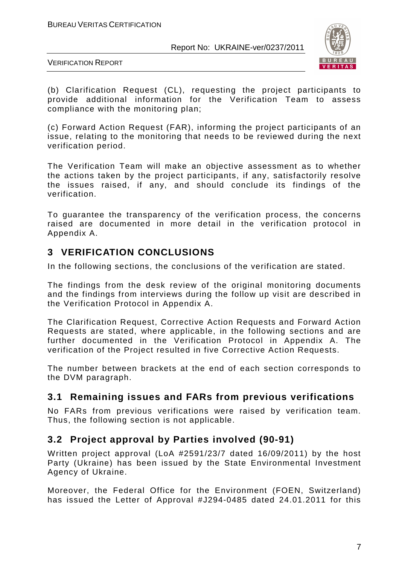

VERIFICATION REPORT

(b) Clarification Request (CL), requesting the project participants to provide additional information for the Verification Team to assess compliance with the monitoring plan;

(c) Forward Action Request (FAR), informing the project participants of an issue, relating to the monitoring that needs to be reviewed during the next verification period.

The Verification Team will make an objective assessment as to whether the actions taken by the project participants, if any, satisfactorily resolve the issues raised, if any, and should conclude its findings of the verification.

To guarantee the transparency of the verification process, the concerns raised are documented in more detail in the verification protocol in Appendix A.

# **3 VERIFICATION CONCLUSIONS**

In the following sections, the conclusions of the verification are stated.

The findings from the desk review of the original monitoring documents and the findings from interviews during the follow up visit are described in the Verification Protocol in Appendix A.

The Clarification Request, Corrective Action Requests and Forward Action Requests are stated, where applicable, in the following sections and are further documented in the Verification Protocol in Appendix A. The verification of the Project resulted in five Corrective Action Requests.

The number between brackets at the end of each section corresponds to the DVM paragraph.

# **3.1 Remaining issues and FARs from previous verifications**

No FARs from previous verifications were raised by verification team. Thus, the following section is not applicable.

# **3.2 Project approval by Parties involved (90-91)**

Written project approval (LoA #2591/23/7 dated 16/09/2011) by the host Party (Ukraine) has been issued by the State Environmental Investment Agency of Ukraine.

Moreover, the Federal Office for the Environment (FOEN, Switzerland) has issued the Letter of Approval #J294-0485 dated 24.01.2011 for this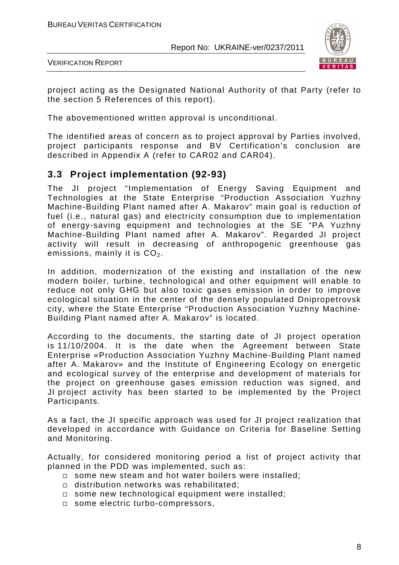

VERIFICATION REPORT

project acting as the Designated National Authority of that Party (refer to the section 5 References of this report).

The abovementioned written approval is unconditional.

The identified areas of concern as to project approval by Parties involved, project participants response and BV Certification's conclusion are described in Appendix A (refer to CAR02 and CAR04).

# **3.3 Project implementation (92-93)**

The JI project "Implementation of Energy Saving Equipment and Technologies at the State Enterprise "Production Association Yuzhny Machine-Building Plant named after A. Makarov" main goal is reduction of fuel (i.e., natural gas) and electricity consumption due to implementation of energy-saving equipment and technologies at the SE "PA Yuzhny Machine-Building Plant named after A. Makarov". Regarded JI project activity will result in decreasing of anthropogenic greenhouse gas emissions, mainly it is  $CO<sub>2</sub>$ .

In addition, modernization of the existing and installation of the new modern boiler, turbine, technological and other equipment will enable to reduce not only GHG but also toxic gases emission in order to improve ecological situation in the center of the densely populated Dnipropetrovsk city, where the State Enterprise "Production Association Yuzhny Machine-Building Plant named after A. Makarov" is located.

According to the documents, the starting date of JI project operation is 11/10/2004. It is the date when the Agreement between State Enterprise «Production Association Yuzhny Machine-Building Plant named after A. Makarov» and the Institute of Engineering Ecology on energetic and ecological survey of the enterprise and development of materials for the project on greenhouse gases emission reduction was signed, and JI project activity has been started to be implemented by the Project Participants.

As a fact, the JI specific approach was used for JI project realization that developed in accordance with Guidance on Criteria for Baseline Setting and Monitoring.

Actually, for considered monitoring period a list of project activity that planned in the PDD was implemented, such as:

- $\square$  some new steam and hot water boilers were installed;
- distribution networks was rehabilitated;
- some new technological equipment were installed;
- □ some electric turbo-compressors,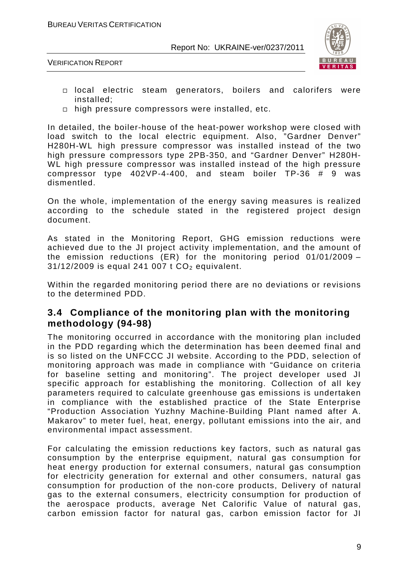



- local electric steam generators, boilers and calorifers were installed;
- $\Box$  high pressure compressors were installed, etc.

In detailed, the boiler-house of the heat-power workshop were closed with load switch to the local electric equipment. Also, "Gardner Denver" H280H-WL high pressure compressor was installed instead of the two high pressure compressors type 2PB-350, and "Gardner Denver" H280H-WL high pressure compressor was installed instead of the high pressure compressor type 402VP-4-400, and steam boiler TP-36 # 9 was dismentled.

On the whole, implementation of the energy saving measures is realized according to the schedule stated in the registered project design document.

As stated in the Monitoring Report, GHG emission reductions were achieved due to the JI project activity implementation, and the amount of the emission reductions (ER) for the monitoring period 01/01/2009 –  $31/12/2009$  is equal 241 007 t  $CO<sub>2</sub>$  equivalent.

Within the regarded monitoring period there are no deviations or revisions to the determined PDD.

#### **3.4 Compliance of the monitoring plan with the monitoring methodology (94-98)**

The monitoring occurred in accordance with the monitoring plan included in the PDD regarding which the determination has been deemed final and is so listed on the UNFCCC JI website. According to the PDD, selection of monitoring approach was made in compliance with "Guidance on criteria for baseline setting and monitoring". The project developer used JI specific approach for establishing the monitoring. Collection of all key parameters required to calculate greenhouse gas emissions is undertaken in compliance with the established practice of the State Enterprise "Production Association Yuzhny Machine-Building Plant named after A. Makarov" to meter fuel, heat, energy, pollutant emissions into the air, and environmental impact assessment.

For calculating the emission reductions key factors, such as natural gas consumption by the enterprise equipment, natural gas consumption for heat energy production for external consumers, natural gas consumption for electricity generation for external and other consumers, natural gas consumption for production of the non-core products, Delivery of natural gas to the external consumers, electricity consumption for production of the aerospace products, average Net Calorific Value of natural gas, carbon emission factor for natural gas, carbon emission factor for JI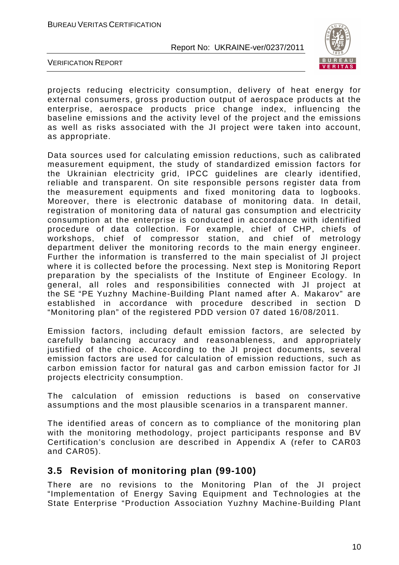

VERIFICATION REPORT

projects reducing electricity consumption, delivery of heat energy for external consumers, gross production output of aerospace products at the enterprise, aerospace products price change index, influencing the baseline emissions and the activity level of the project and the emissions as well as risks associated with the JI project were taken into account, as appropriate.

Data sources used for calculating emission reductions, such as calibrated measurement equipment, the study of standardized emission factors for the Ukrainian electricity grid, IPCC guidelines are clearly identified, reliable and transparent. On site responsible persons register data from the measurement equipments and fixed monitoring data to logbooks. Moreover, there is electronic database of monitoring data. In detail, registration of monitoring data of natural gas consumption and electricity consumption at the enterprise is conducted in accordance with identified procedure of data collection. For example, chief of CHP, chiefs of workshops, chief of compressor station, and chief of metrology department deliver the monitoring records to the main energy engineer. Further the information is transferred to the main specialist of JI project where it is collected before the processing. Next step is Monitoring Report preparation by the specialists of the Institute of Engineer Ecology. In general, all roles and responsibilities connected with JI project at the SE "PE Yuzhny Machine-Building Plant named after A. Makarov" are established in accordance with procedure described in section D "Monitoring plan" of the registered PDD version 07 dated 16/08/2011.

Emission factors, including default emission factors, are selected by carefully balancing accuracy and reasonableness, and appropriately justified of the choice. According to the JI project documents, several emission factors are used for calculation of emission reductions, such as carbon emission factor for natural gas and carbon emission factor for JI projects electricity consumption.

The calculation of emission reductions is based on conservative assumptions and the most plausible scenarios in a transparent manner.

The identified areas of concern as to compliance of the monitoring plan with the monitoring methodology, project participants response and BV Certification's conclusion are described in Appendix A (refer to CAR03 and CAR05).

#### **3.5 Revision of monitoring plan (99-100)**

There are no revisions to the Monitoring Plan of the JI project "Implementation of Energy Saving Equipment and Technologies at the State Enterprise "Production Association Yuzhny Machine-Building Plant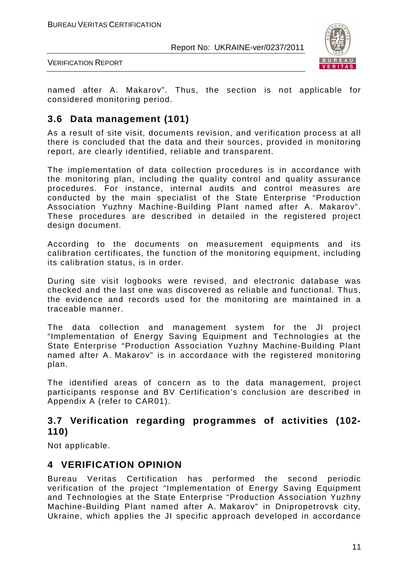

VERIFICATION REPORT

named after A. Makarov". Thus, the section is not applicable for considered monitoring period.

# **3.6 Data management (101)**

As a result of site visit, documents revision, and verification process at all there is concluded that the data and their sources, provided in monitoring report, are clearly identified, reliable and transparent.

The implementation of data collection procedures is in accordance with the monitoring plan, including the quality control and quality assurance procedures. For instance, internal audits and control measures are conducted by the main specialist of the State Enterprise "Production Association Yuzhny Machine-Building Plant named after A. Makarov". These procedures are described in detailed in the registered project design document.

According to the documents on measurement equipments and its calibration certificates, the function of the monitoring equipment, including its calibration status, is in order.

During site visit logbooks were revised, and electronic database was checked and the last one was discovered as reliable and functional. Thus, the evidence and records used for the monitoring are maintained in a traceable manner.

The data collection and management system for the JI project "Implementation of Energy Saving Equipment and Technologies at the State Enterprise "Production Association Yuzhny Machine-Building Plant named after A. Makarov" is in accordance with the registered monitoring plan.

The identified areas of concern as to the data management, project participants response and BV Certification's conclusion are described in Appendix A (refer to CAR01).

#### **3.7 Verification regarding programmes of activities (102- 110)**

Not applicable.

# **4 VERIFICATION OPINION**

Bureau Veritas Certification has performed the second periodic verification of the project "Implementation of Energy Saving Equipment and Technologies at the State Enterprise "Production Association Yuzhny Machine-Building Plant named after A. Makarov" in Dnipropetrovsk city, Ukraine, which applies the JI specific approach developed in accordance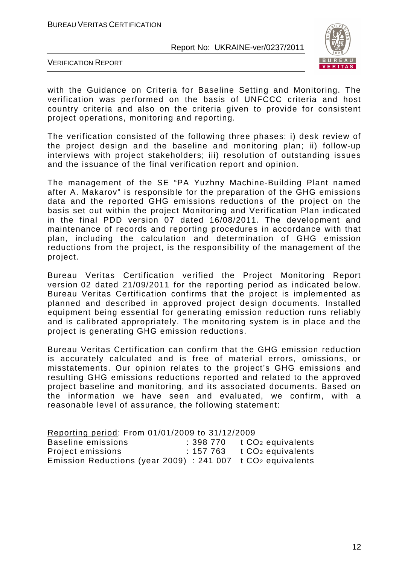

VERIFICATION REPORT

with the Guidance on Criteria for Baseline Setting and Monitoring. The verification was performed on the basis of UNFCCC criteria and host country criteria and also on the criteria given to provide for consistent project operations, monitoring and reporting.

The verification consisted of the following three phases: i) desk review of the project design and the baseline and monitoring plan; ii) follow-up interviews with project stakeholders; iii) resolution of outstanding issues and the issuance of the final verification report and opinion.

The management of the SE "PA Yuzhny Machine-Building Plant named after A. Makarov" is responsible for the preparation of the GHG emissions data and the reported GHG emissions reductions of the project on the basis set out within the project Monitoring and Verification Plan indicated in the final PDD version 07 dated 16/08/2011. The development and maintenance of records and reporting procedures in accordance with that plan, including the calculation and determination of GHG emission reductions from the project, is the responsibility of the management of the project.

Bureau Veritas Certification verified the Project Monitoring Report version 02 dated 21/09/2011 for the reporting period as indicated below. Bureau Veritas Certification confirms that the project is implemented as planned and described in approved project design documents. Installed equipment being essential for generating emission reduction runs reliably and is calibrated appropriately. The monitoring system is in place and the project is generating GHG emission reductions.

Bureau Veritas Certification can confirm that the GHG emission reduction is accurately calculated and is free of material errors, omissions, or misstatements. Our opinion relates to the project's GHG emissions and resulting GHG emissions reductions reported and related to the approved project baseline and monitoring, and its associated documents. Based on the information we have seen and evaluated, we confirm, with a reasonable level of assurance, the following statement:

| Reporting period: From 01/01/2009 to 31/12/2009                             |          |                               |
|-----------------------------------------------------------------------------|----------|-------------------------------|
| Baseline emissions                                                          |          | : 398 770 $t CO2$ equivalents |
| Project emissions                                                           | :157 763 | t CO <sub>2</sub> equivalents |
| Emission Reductions (year 2009) : 241 007 $\pm$ CO <sub>2</sub> equivalents |          |                               |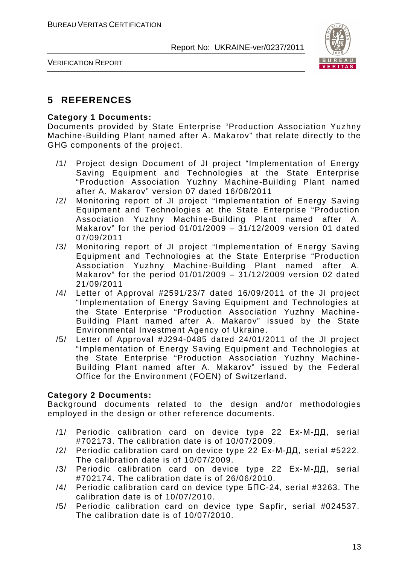

VERIFICATION REPORT

# **5 REFERENCES**

#### **Category 1 Documents:**

Documents provided by State Enterprise "Production Association Yuzhny Machine-Building Plant named after A. Makarov" that relate directly to the GHG components of the project.

- /1/ Project design Document of JI project "Implementation of Energy Saving Equipment and Technologies at the State Enterprise "Production Association Yuzhny Machine-Building Plant named after A. Makarov" version 07 dated 16/08/2011
- /2/ Monitoring report of JI project "Implementation of Energy Saving Equipment and Technologies at the State Enterprise "Production Association Yuzhny Machine-Building Plant named after A. Makarov" for the period 01/01/2009 – 31/12/2009 version 01 dated 07/09/2011
- /3/ Monitoring report of JI project "Implementation of Energy Saving Equipment and Technologies at the State Enterprise "Production Association Yuzhny Machine-Building Plant named after A. Makarov" for the period  $01/01/2009 - 31/12/2009$  version 02 dated 21/09/2011
- /4/ Letter of Approval #2591/23/7 dated 16/09/2011 of the JI project "Implementation of Energy Saving Equipment and Technologies at the State Enterprise "Production Association Yuzhny Machine-Building Plant named after A. Makarov" issued by the State Environmental Investment Agency of Ukraine.
- /5/ Letter of Approval #J294-0485 dated 24/01/2011 of the JI project "Implementation of Energy Saving Equipment and Technologies at the State Enterprise "Production Association Yuzhny Machine-Building Plant named after A. Makarov" issued by the Federal Office for the Environment (FOEN) of Switzerland.

#### **Category 2 Documents:**

Background documents related to the design and/or methodologies employed in the design or other reference documents.

- /1/ Periodic calibration card on device type 22 Ех-М-ДД, serial #702173. The calibration date is of 10/07/2009.
- /2/ Periodic calibration card on device type 22 Ех-М-ДД, serial #5222. The calibration date is of 10/07/2009.
- /3/ Periodic calibration card on device type 22 Ех-М-ДД, serial #702174. The calibration date is of 26/06/2010.
- /4/ Periodic calibration card on device type БПС-24, serial #3263. The calibration date is of 10/07/2010.
- /5/ Periodic calibration card on device type Sapfir, serial #024537. The calibration date is of 10/07/2010.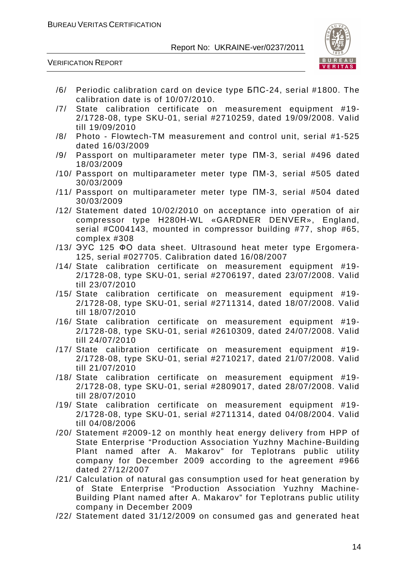

VERIFICATION REPORT

- /6/ Periodic calibration card on device type БПС-24, serial #1800. The calibration date is of 10/07/2010.
- /7/ State calibration certificate on measurement equipment #19- 2/1728-08, type SKU-01, serial #2710259, dated 19/09/2008. Valid till 19/09/2010
- /8/ Photo Flowtech-TM measurement and control unit, serial #1-525 dated 16/03/2009
- /9/ Passport on multiparameter meter type ПМ-3, serial #496 dated 18/03/2009
- /10/ Passport on multiparameter meter type ПМ-3, serial #505 dated 30/03/2009
- /11/ Passport on multiparameter meter type ПМ-3, serial #504 dated 30/03/2009
- /12/ Statement dated 10/02/2010 on acceptance into operation of air compressor type Н280Н-WL «GARDNER DENVER», England, serial #С004143, mounted in compressor building #77, shop #65, complex #308
- /13/ ЭУС 125 ФО data sheet. Ultrasound heat meter type Ergomera-125, serial #027705. Calibration dated 16/08/2007
- /14/ State calibration certificate on measurement equipment #19- 2/1728-08, type SKU-01, serial #2706197, dated 23/07/2008. Valid till 23/07/2010
- /15/ State calibration certificate on measurement equipment #19- 2/1728-08, type SKU-01, serial #2711314, dated 18/07/2008. Valid till 18/07/2010
- /16/ State calibration certificate on measurement equipment #19- 2/1728-08, type SKU-01, serial #2610309, dated 24/07/2008. Valid till 24/07/2010
- /17/ State calibration certificate on measurement equipment #19- 2/1728-08, type SKU-01, serial #2710217, dated 21/07/2008. Valid till 21/07/2010
- /18/ State calibration certificate on measurement equipment #19- 2/1728-08, type SKU-01, serial #2809017, dated 28/07/2008. Valid till 28/07/2010
- /19/ State calibration certificate on measurement equipment #19- 2/1728-08, type SKU-01, serial #2711314, dated 04/08/2004. Valid till 04/08/2006
- /20/ Statement #2009-12 on monthly heat energy delivery from HPP of State Enterprise "Production Association Yuzhny Machine-Building Plant named after A. Makarov" for Teplotrans public utility company for December 2009 according to the agreement #966 dated 27/12/2007
- /21/ Calculation of natural gas consumption used for heat generation by of State Enterprise "Production Association Yuzhny Machine-Building Plant named after A. Makarov" for Teplotrans public utility company in December 2009
- /22/ Statement dated 31/12/2009 on consumed gas and generated heat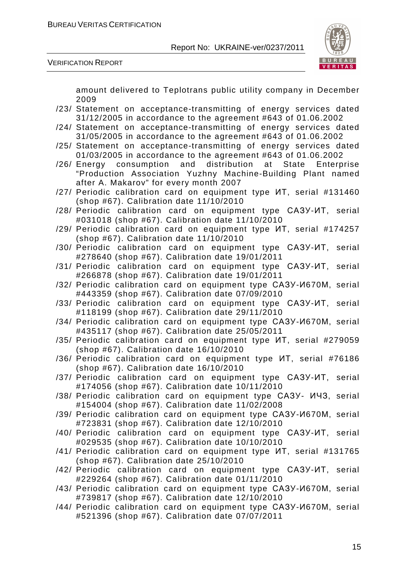

VERIFICATION REPORT

amount delivered to Teplotrans public utility company in December 2009

- /23/ Statement on acceptance-transmitting of energy services dated 31/12/2005 in accordance to the agreement #643 of 01.06.2002
- /24/ Statement on acceptance-transmitting of energy services dated 31/05/2005 in accordance to the agreement #643 of 01.06.2002
- /25/ Statement on acceptance-transmitting of energy services dated 01/03/2005 in accordance to the agreement #643 of 01.06.2002
- /26/ Energy consumption and distribution at State Enterprise "Production Association Yuzhny Machine-Building Plant named after A. Makarov" for every month 2007
- /27/ Periodic calibration card on equipment type ИТ, serial #131460 (shop #67). Calibration date 11/10/2010
- /28/ Periodic calibration card on equipment type САЗУ-ИТ, serial #031018 (shop #67). Calibration date 11/10/2010
- /29/ Periodic calibration card on equipment type ИТ, serial #174257 (shop #67). Calibration date 11/10/2010
- /30/ Periodic calibration card on equipment type САЗУ-ИТ, serial #278640 (shop #67). Calibration date 19/01/2011
- /31/ Periodic calibration card on equipment type САЗУ-ИТ, serial #266878 (shop #67). Calibration date 19/01/2011
- /32/ Periodic calibration card on equipment type САЗУ-И670М, serial #443359 (shop #67). Calibration date 07/09/2010
- /33/ Periodic calibration card on equipment type САЗУ-ИТ, serial #118199 (shop #67). Calibration date 29/11/2010
- /34/ Periodic calibration card on equipment type САЗУ-И670М, serial #435117 (shop #67). Calibration date 25/05/2011
- /35/ Periodic calibration card on equipment type ИТ, serial #279059 (shop #67). Calibration date 16/10/2010
- /36/ Periodic calibration card on equipment type ИТ, serial #76186 (shop #67). Calibration date 16/10/2010
- /37/ Periodic calibration card on equipment type САЗУ-ИТ, serial #174056 (shop #67). Calibration date 10/11/2010
- /38/ Periodic calibration card on equipment type САЗУ- ИЧЗ, serial #154004 (shop #67). Calibration date 11/02/2008
- /39/ Periodic calibration card on equipment type САЗУ-И670М, serial #723831 (shop #67). Calibration date 12/10/2010
- /40/ Periodic calibration card on equipment type САЗУ-ИТ, serial #029535 (shop #67). Calibration date 10/10/2010
- /41/ Periodic calibration card on equipment type ИТ, serial #131765 (shop #67). Calibration date 25/10/2010
- /42/ Periodic calibration card on equipment type САЗУ-ИТ, serial #229264 (shop #67). Calibration date 01/11/2010
- /43/ Periodic calibration card on equipment type САЗУ-И670М, serial #739817 (shop #67). Calibration date 12/10/2010
- /44/ Periodic calibration card on equipment type САЗУ-И670М, serial #521396 (shop #67). Calibration date 07/07/2011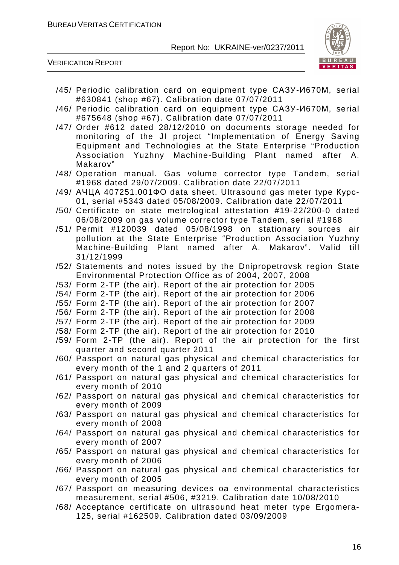

VERIFICATION REPORT

- /45/ Periodic calibration card on equipment type САЗУ-И670М, serial #630841 (shop #67). Calibration date 07/07/2011
- /46/ Periodic calibration card on equipment type САЗУ-И670М, serial #675648 (shop #67). Calibration date 07/07/2011
- /47/ Order #612 dated 28/12/2010 on documents storage needed for monitoring of the JI project "Implementation of Energy Saving Equipment and Technologies at the State Enterprise "Production Association Yuzhny Machine-Building Plant named after A. Makarov"
- /48/ Operation manual. Gas volume corrector type Tandem, serial #1968 dated 29/07/2009. Calibration date 22/07/2011
- /49/ АЧЦА 407251.001ФО data sheet. Ultrasound gas meter type Курс-01, serial #5343 dated 05/08/2009. Calibration date 22/07/2011
- /50/ Certificate on state metrological attestation #19-22/200-0 dated 06/08/2009 on gas volume corrector type Tandem, serial #1968
- /51/ Permit #120039 dated 05/08/1998 on stationary sources air pollution at the State Enterprise "Production Association Yuzhny Machine-Building Plant named after A. Makarov". Valid till 31/12/1999
- /52/ Statements and notes issued by the Dnipropetrovsk region State Environmental Protection Office as of 2004, 2007, 2008
- /53/ Form 2-TP (the air). Report of the air protection for 2005
- /54/ Form 2-TP (the air). Report of the air protection for 2006
- /55/ Form 2-TP (the air). Report of the air protection for 2007
- /56/ Form 2-TP (the air). Report of the air protection for 2008
- /57/ Form 2-TP (the air). Report of the air protection for 2009
- /58/ Form 2-TP (the air). Report of the air protection for 2010
- /59/ Form 2-TP (the air). Report of the air protection for the first quarter and second quarter 2011
- /60/ Passport on natural gas physical and chemical characteristics for every month of the 1 and 2 quarters of 2011
- /61/ Passport on natural gas physical and chemical characteristics for every month of 2010
- /62/ Passport on natural gas physical and chemical characteristics for every month of 2009
- /63/ Passport on natural gas physical and chemical characteristics for every month of 2008
- /64/ Passport on natural gas physical and chemical characteristics for every month of 2007
- /65/ Passport on natural gas physical and chemical characteristics for every month of 2006
- /66/ Passport on natural gas physical and chemical characteristics for every month of 2005
- /67/ Passport on measuring devices oа environmental characteristics measurement, serial #506, #3219. Calibration date 10/08/2010
- /68/ Acceptance certificate on ultrasound heat meter type Ergomera-125, serial #162509. Calibration dated 03/09/2009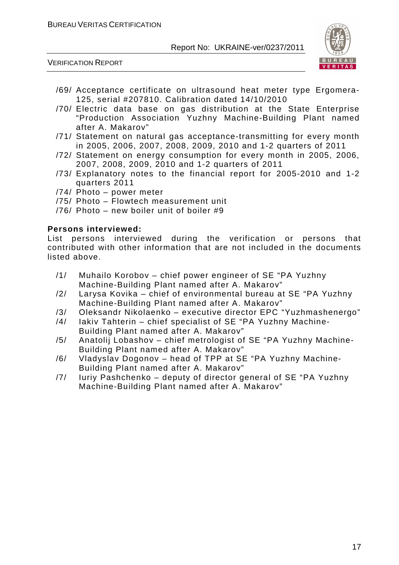VERIFICATION REPORT



- /69/ Acceptance certificate on ultrasound heat meter type Ergomera-125, serial #207810. Calibration dated 14/10/2010
- /70/ Electric data base on gas distribution at the State Enterprise "Production Association Yuzhny Machine-Building Plant named after A. Makarov"
- /71/ Statement on natural gas acceptance-transmitting for every month in 2005, 2006, 2007, 2008, 2009, 2010 and 1-2 quarters of 2011
- /72/ Statement on energy consumption for every month in 2005, 2006, 2007, 2008, 2009, 2010 and 1-2 quarters of 2011
- /73/ Explanatory notes to the financial report for 2005-2010 and 1-2 quarters 2011
- /74/ Photo power meter
- /75/ Photo Flowtech measurement unit
- /76/ Photo new boiler unit of boiler #9

#### **Persons interviewed:**

List persons interviewed during the verification or persons that contributed with other information that are not included in the documents listed above.

- /1/ Muhailo Korobov chief power engineer of SE "PA Yuzhny Machine-Building Plant named after A. Makarov"
- /2/ Larysa Kovika chief of environmental bureau at SE "PA Yuzhny Machine-Building Plant named after A. Makarov"
- /3/ Oleksandr Nikolaenko executive director EPC "Yuzhmashenergo"
- /4/ Iakiv Tahterin chief specialist of SE "PA Yuzhny Machine-
- Building Plant named after A. Makarov"
- /5/ Anatolij Lobashov chief metrologist of SE "PA Yuzhny Machine-Building Plant named after A. Makarov"
- /6/ Vladyslav Dogonov head of TPP at SE "PA Yuzhny Machine-Building Plant named after A. Makarov"
- /7/ Iuriy Pashchenko deputy of director general of SE "PA Yuzhny Machine-Building Plant named after A. Makarov"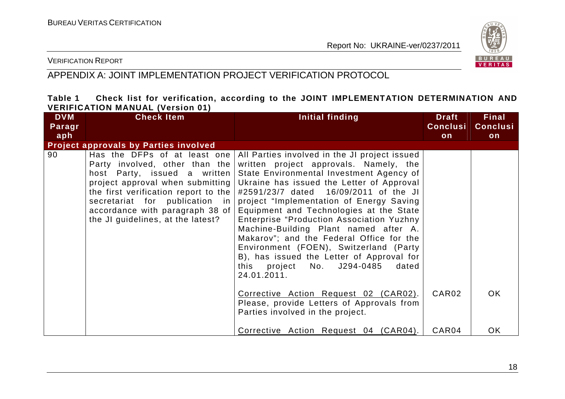

#### VERIFICATION REPORT

# APPENDIX A: JOINT IMPLEMENTATION PROJECT VERIFICATION PROTOCOL

#### **Table 1 Check list for verification, according to the JOINT IMPLEMENTATION DETERMINATION AND VERIFICATION MANUAL (Version 01)**

| <b>DVM</b> | <b>Check Item</b>                                                                                                                                                                                                                                                                        | Initial finding                                                                                                                                                                                                                                                                                                                                                                                                                                                                                                                                                                                                                                 | <b>Draft</b>      | <b>Final</b>    |
|------------|------------------------------------------------------------------------------------------------------------------------------------------------------------------------------------------------------------------------------------------------------------------------------------------|-------------------------------------------------------------------------------------------------------------------------------------------------------------------------------------------------------------------------------------------------------------------------------------------------------------------------------------------------------------------------------------------------------------------------------------------------------------------------------------------------------------------------------------------------------------------------------------------------------------------------------------------------|-------------------|-----------------|
| Paragr     |                                                                                                                                                                                                                                                                                          |                                                                                                                                                                                                                                                                                                                                                                                                                                                                                                                                                                                                                                                 | <b>Conclusi</b>   | <b>Conclusi</b> |
| aph        |                                                                                                                                                                                                                                                                                          |                                                                                                                                                                                                                                                                                                                                                                                                                                                                                                                                                                                                                                                 | on                | on              |
|            | <b>Project approvals by Parties involved</b>                                                                                                                                                                                                                                             |                                                                                                                                                                                                                                                                                                                                                                                                                                                                                                                                                                                                                                                 |                   |                 |
| 90         | Has the DFPs of at least one<br>Party involved, other than the<br>host Party, issued a written<br>project approval when submitting<br>the first verification report to the $ $<br>secretariat for publication in<br>accordance with paragraph 38 of<br>the JI guidelines, at the latest? | All Parties involved in the JI project issued<br>written project approvals. Namely, the<br>State Environmental Investment Agency of<br>Ukraine has issued the Letter of Approval<br>#2591/23/7 dated 16/09/2011 of the JI<br>project "Implementation of Energy Saving<br>Equipment and Technologies at the State<br><b>Enterprise "Production Association Yuzhny</b><br>Machine-Building Plant named after A.<br>Makarov"; and the Federal Office for the<br>Environment (FOEN), Switzerland (Party<br>B), has issued the Letter of Approval for<br>this project No. J294-0485<br>dated<br>24.01.2011.<br>Corrective Action Request 02 (CAR02). | CAR <sub>02</sub> | OK.             |
|            |                                                                                                                                                                                                                                                                                          | Please, provide Letters of Approvals from<br>Parties involved in the project.                                                                                                                                                                                                                                                                                                                                                                                                                                                                                                                                                                   |                   |                 |
|            |                                                                                                                                                                                                                                                                                          | Corrective Action Request 04 (CAR04).                                                                                                                                                                                                                                                                                                                                                                                                                                                                                                                                                                                                           | CAR04             | OK.             |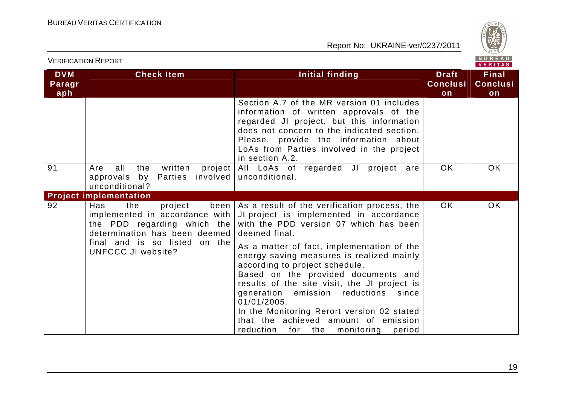

| <b>VERIFICATION REPORT</b>  |                                                                                                                                                                                         |                                                                                                                                                                                                                                                                                                                                                                                                                                                                                                                                                                                 |                                       | BUREAU<br>VERITAS                     |
|-----------------------------|-----------------------------------------------------------------------------------------------------------------------------------------------------------------------------------------|---------------------------------------------------------------------------------------------------------------------------------------------------------------------------------------------------------------------------------------------------------------------------------------------------------------------------------------------------------------------------------------------------------------------------------------------------------------------------------------------------------------------------------------------------------------------------------|---------------------------------------|---------------------------------------|
| <b>DVM</b><br>Paragr<br>aph | <b>Check Item</b>                                                                                                                                                                       | Initial finding                                                                                                                                                                                                                                                                                                                                                                                                                                                                                                                                                                 | <b>Draft</b><br><b>Conclusi</b><br>on | <b>Final</b><br><b>Conclusi</b><br>on |
|                             |                                                                                                                                                                                         | Section A.7 of the MR version 01 includes<br>information of written approvals of the<br>regarded JI project, but this information<br>does not concern to the indicated section.<br>Please, provide the information about<br>LoAs from Parties involved in the project<br>in section A.2.                                                                                                                                                                                                                                                                                        |                                       |                                       |
| 91                          | all<br>the<br>written<br>project  <br>Are<br>approvals by Parties<br>unconditional?                                                                                                     | All LoAs of regarded JI project are<br>involved   unconditional.                                                                                                                                                                                                                                                                                                                                                                                                                                                                                                                | <b>OK</b>                             | <b>OK</b>                             |
|                             | <b>Project implementation</b>                                                                                                                                                           |                                                                                                                                                                                                                                                                                                                                                                                                                                                                                                                                                                                 |                                       |                                       |
| 92                          | Has<br>the<br>project<br>implemented in accordance with  <br>the PDD regarding which the<br>determination has been deemed<br>final and is so listed on the<br><b>UNFCCC JI website?</b> | been   As a result of the verification process, the  <br>JI project is implemented in accordance<br>with the PDD version 07 which has been<br>deemed final.<br>As a matter of fact, implementation of the<br>energy saving measures is realized mainly<br>according to project schedule.<br>Based on the provided documents and<br>results of the site visit, the JI project is<br>generation emission reductions<br>since<br>01/01/2005.<br>In the Monitoring Rerort version 02 stated<br>that the achieved amount of emission<br>reduction<br>for the<br>monitoring<br>period | OK.                                   | <b>OK</b>                             |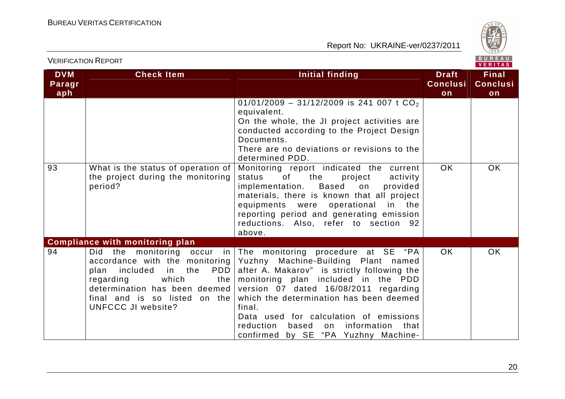

| <b>VERIFICATION REPORT</b>  |                                                                                                                                                                                                             |                                                                                                                                                                                                                                                                                                                                                                                                                                                                   | BUREAU<br>VERITAS                     |                                       |
|-----------------------------|-------------------------------------------------------------------------------------------------------------------------------------------------------------------------------------------------------------|-------------------------------------------------------------------------------------------------------------------------------------------------------------------------------------------------------------------------------------------------------------------------------------------------------------------------------------------------------------------------------------------------------------------------------------------------------------------|---------------------------------------|---------------------------------------|
| <b>DVM</b><br>Paragr<br>aph | <b>Check Item</b>                                                                                                                                                                                           | Initial finding                                                                                                                                                                                                                                                                                                                                                                                                                                                   | <b>Draft</b><br><b>Conclusi</b><br>on | <b>Final</b><br><b>Conclusi</b><br>on |
|                             |                                                                                                                                                                                                             | 01/01/2009 - 31/12/2009 is 241 007 t $CO2$<br>equivalent.<br>On the whole, the JI project activities are<br>conducted according to the Project Design<br>Documents.<br>There are no deviations or revisions to the<br>determined PDD.                                                                                                                                                                                                                             |                                       |                                       |
| 93                          | What is the status of operation of<br>the project during the monitoring<br>period?                                                                                                                          | Monitoring report indicated the current<br>status<br>of<br>the<br>project<br>activity<br>Based<br>implementation.<br>on<br>provided<br>materials, there is known that all project<br>equipments were operational<br>in the<br>reporting period and generating emission<br>reductions. Also, refer to section 92<br>above.                                                                                                                                         | <b>OK</b>                             | OK                                    |
| 94                          | <b>Compliance with monitoring plan</b><br>accordance with the monitoring<br>PDD<br>plan<br>included<br>in<br>the<br>which<br>regarding<br>the<br>final and is so listed on the<br><b>UNFCCC JI website?</b> | Did the monitoring occur in The monitoring procedure at $SE$ "PA<br>Yuzhny Machine-Building Plant named<br>after A. Makarov" is strictly following the<br>monitoring plan included in the PDD<br>determination has been deemed version $07$ dated $16/08/2011$ regarding<br>which the determination has been deemed<br>final.<br>Data used for calculation of emissions<br>reduction<br>based<br>information<br>that<br>on<br>confirmed by SE "PA Yuzhny Machine- | <b>OK</b>                             | <b>OK</b>                             |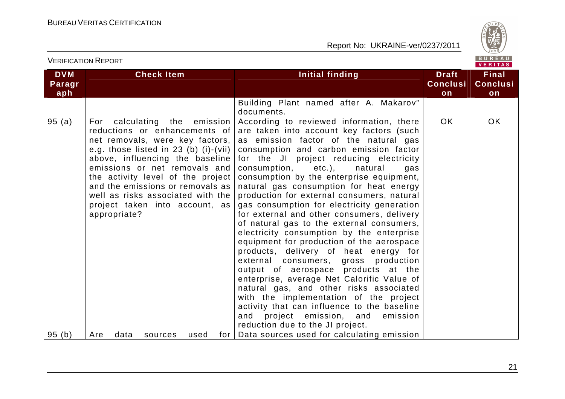

# VERIFICATION REPORT

| <b>DVM</b><br>Paragr<br>aph | <b>Check Item</b>                                                                                                                                                                                                                                                                                                                                                                   | <b>Initial finding</b>                                                                                                                                                                                                                                                                                                                                                                                                                                                                                                                                                                                                                                                                                                                                                                                                                                                                                                                                                                                                        | <b>Draft</b><br><b>Conclusi</b><br>on | <b>Final</b><br><b>Conclusi</b><br>on |
|-----------------------------|-------------------------------------------------------------------------------------------------------------------------------------------------------------------------------------------------------------------------------------------------------------------------------------------------------------------------------------------------------------------------------------|-------------------------------------------------------------------------------------------------------------------------------------------------------------------------------------------------------------------------------------------------------------------------------------------------------------------------------------------------------------------------------------------------------------------------------------------------------------------------------------------------------------------------------------------------------------------------------------------------------------------------------------------------------------------------------------------------------------------------------------------------------------------------------------------------------------------------------------------------------------------------------------------------------------------------------------------------------------------------------------------------------------------------------|---------------------------------------|---------------------------------------|
|                             |                                                                                                                                                                                                                                                                                                                                                                                     | Building Plant named after A. Makarov"<br>documents.                                                                                                                                                                                                                                                                                                                                                                                                                                                                                                                                                                                                                                                                                                                                                                                                                                                                                                                                                                          |                                       |                                       |
| 95(a)                       | the emission<br>calculating<br>For<br>reductions or enhancements of<br>net removals, were key factors,<br>e.g. those listed in 23 (b) (i)-(vii)<br>above, influencing the baseline<br>emissions or net removals and<br>the activity level of the project<br>and the emissions or removals as<br>well as risks associated with the<br>project taken into account, as<br>appropriate? | According to reviewed information, there<br>are taken into account key factors (such<br>as emission factor of the natural gas<br>consumption and carbon emission factor<br>for the JI project reducing electricity<br>etc.),<br>consumption,<br>natural<br>gas<br>consumption by the enterprise equipment,<br>natural gas consumption for heat energy<br>production for external consumers, natural<br>gas consumption for electricity generation<br>for external and other consumers, delivery<br>of natural gas to the external consumers,<br>electricity consumption by the enterprise<br>equipment for production of the aerospace<br>products, delivery of heat energy for<br>external consumers, gross production<br>output of aerospace products at the<br>enterprise, average Net Calorific Value of<br>natural gas, and other risks associated<br>with the implementation of the project<br>activity that can influence to the baseline<br>project emission, and emission<br>and<br>reduction due to the JI project. | OK.                                   | OK                                    |
| 95(b)                       | Are<br>data<br>for $\vert$<br>sources<br>used                                                                                                                                                                                                                                                                                                                                       | Data sources used for calculating emission                                                                                                                                                                                                                                                                                                                                                                                                                                                                                                                                                                                                                                                                                                                                                                                                                                                                                                                                                                                    |                                       |                                       |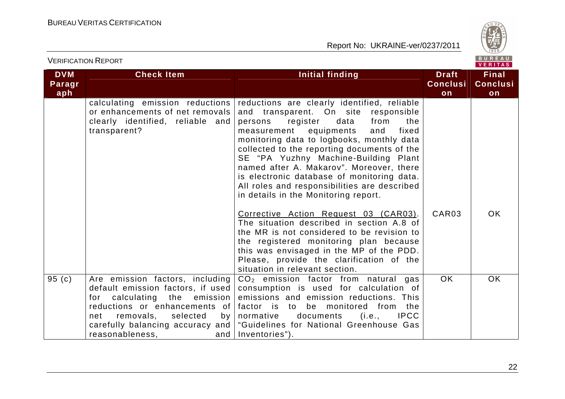

|                             |                                                                                                                                                                                       |                                                                                                                                                                                                                                                                                                                                                                                                                                                                                                   |                                       | VERITAS                               |
|-----------------------------|---------------------------------------------------------------------------------------------------------------------------------------------------------------------------------------|---------------------------------------------------------------------------------------------------------------------------------------------------------------------------------------------------------------------------------------------------------------------------------------------------------------------------------------------------------------------------------------------------------------------------------------------------------------------------------------------------|---------------------------------------|---------------------------------------|
| <b>DVM</b><br>Paragr<br>aph | <b>Check Item</b>                                                                                                                                                                     | Initial finding                                                                                                                                                                                                                                                                                                                                                                                                                                                                                   | <b>Draft</b><br><b>Conclusi</b><br>on | <b>Final</b><br><b>Conclusi</b><br>on |
|                             | calculating emission reductions<br>or enhancements of net removals<br>clearly identified, reliable and<br>transparent?                                                                | reductions are clearly identified, reliable<br>and transparent. On site responsible<br>persons register<br>data<br>from<br>the<br>equipments<br>measurement<br>and<br>fixed<br>monitoring data to logbooks, monthly data<br>collected to the reporting documents of the<br>SE "PA Yuzhny Machine-Building Plant<br>named after A. Makarov". Moreover, there<br>is electronic database of monitoring data.<br>All roles and responsibilities are described<br>in details in the Monitoring report. |                                       |                                       |
|                             |                                                                                                                                                                                       | Corrective Action Request 03 (CAR03).<br>The situation described in section A.8 of<br>the MR is not considered to be revision to<br>the registered monitoring plan because<br>this was envisaged in the MP of the PDD.<br>Please, provide the clarification of the<br>situation in relevant section.                                                                                                                                                                                              | CAR03                                 | <b>OK</b>                             |
| 95(c)                       | Are emission factors, including<br>default emission factors, if used<br>for calculating the emission<br>reductions or enhancements of<br>removals, selected<br>net<br>reasonableness, | $CO2$ emission factor from natural gas<br>consumption is used for calculation of<br>emissions and emission reductions. This<br>factor is to be monitored from the<br>by   normative documents (i.e., IPCC<br>carefully balancing accuracy and   "Guidelines for National Greenhouse Gas<br>and   Inventories").                                                                                                                                                                                   | <b>OK</b>                             | OK                                    |

VERIFICATION REPORT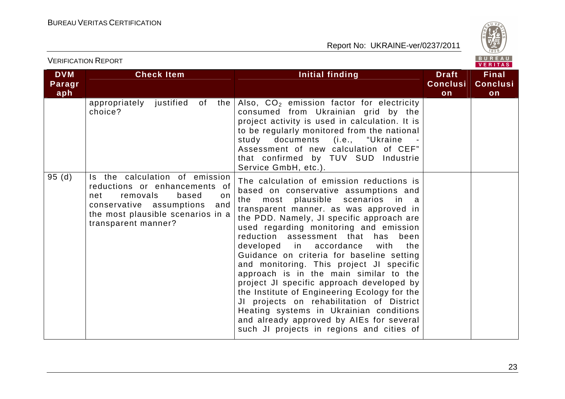

| <b>VERIFICATION REPORT</b>  |                                                                                                                                                                                                   |                                                                                                                                                                                                                                                                                                                                                                                                                                                                                                                                                                                                                                                                                                                                                                       | BUREAU<br><b>VERITAS</b>              |                                       |
|-----------------------------|---------------------------------------------------------------------------------------------------------------------------------------------------------------------------------------------------|-----------------------------------------------------------------------------------------------------------------------------------------------------------------------------------------------------------------------------------------------------------------------------------------------------------------------------------------------------------------------------------------------------------------------------------------------------------------------------------------------------------------------------------------------------------------------------------------------------------------------------------------------------------------------------------------------------------------------------------------------------------------------|---------------------------------------|---------------------------------------|
| <b>DVM</b><br>Paragr<br>aph | <b>Check Item</b>                                                                                                                                                                                 | Initial finding                                                                                                                                                                                                                                                                                                                                                                                                                                                                                                                                                                                                                                                                                                                                                       | <b>Draft</b><br><b>Conclusi</b><br>on | <b>Final</b><br><b>Conclusi</b><br>on |
|                             | appropriately justified of<br>the<br>choice?                                                                                                                                                      | Also, CO <sub>2</sub> emission factor for electricity<br>consumed from Ukrainian grid by the<br>project activity is used in calculation. It is<br>to be regularly monitored from the national<br>study documents (i.e., "Ukraine<br>Assessment of new calculation of CEF"<br>that confirmed by TUV SUD Industrie<br>Service GmbH, etc.).                                                                                                                                                                                                                                                                                                                                                                                                                              |                                       |                                       |
| 95(d)                       | Is the calculation of emission<br>reductions or enhancements of<br>removals<br>based<br>net<br>on.<br>conservative assumptions<br>and<br>the most plausible scenarios in a<br>transparent manner? | The calculation of emission reductions is<br>based on conservative assumptions and<br>most plausible scenarios<br>the<br>in a<br>transparent manner. as was approved in<br>the PDD. Namely, JI specific approach are<br>used regarding monitoring and emission<br>reduction assessment that<br>has<br>been<br>developed in accordance<br>with<br>the<br>Guidance on criteria for baseline setting<br>and monitoring. This project JI specific<br>approach is in the main similar to the<br>project JI specific approach developed by<br>the Institute of Engineering Ecology for the<br>JI projects on rehabilitation of District<br>Heating systems in Ukrainian conditions<br>and already approved by AIEs for several<br>such JI projects in regions and cities of |                                       |                                       |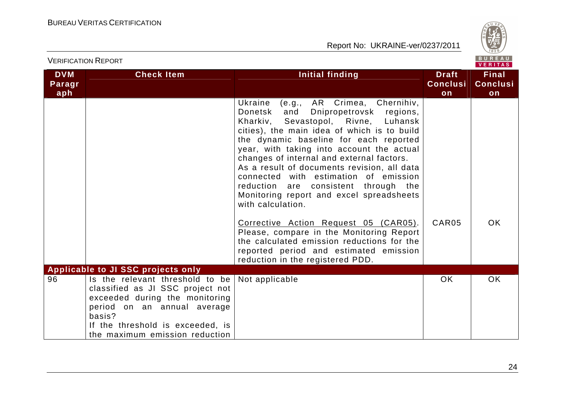

|                             | <b>VERIFICATION REPORT</b>                                                                                                                                                                                           |                                                                                                                                                                                                                                                                                                                                                                                                                                                                                                                 |                                       | BUREAU<br><b>VERITAS</b>              |
|-----------------------------|----------------------------------------------------------------------------------------------------------------------------------------------------------------------------------------------------------------------|-----------------------------------------------------------------------------------------------------------------------------------------------------------------------------------------------------------------------------------------------------------------------------------------------------------------------------------------------------------------------------------------------------------------------------------------------------------------------------------------------------------------|---------------------------------------|---------------------------------------|
| <b>DVM</b><br>Paragr<br>aph | <b>Check Item</b>                                                                                                                                                                                                    | Initial finding                                                                                                                                                                                                                                                                                                                                                                                                                                                                                                 | <b>Draft</b><br><b>Conclusi</b><br>on | <b>Final</b><br><b>Conclusi</b><br>on |
|                             |                                                                                                                                                                                                                      | Ukraine<br>(e.g., AR Crimea, Chernihiv,<br>Donetsk<br>and<br>Dnipropetrovsk regions,<br>Kharkiv, Sevastopol, Rivne, Luhansk<br>cities), the main idea of which is to build<br>the dynamic baseline for each reported<br>year, with taking into account the actual<br>changes of internal and external factors.<br>As a result of documents revision, all data<br>connected with estimation of emission<br>reduction are consistent through the<br>Monitoring report and excel spreadsheets<br>with calculation. |                                       |                                       |
|                             |                                                                                                                                                                                                                      | Corrective Action Request 05 (CAR05).<br>Please, compare in the Monitoring Report<br>the calculated emission reductions for the<br>reported period and estimated emission<br>reduction in the registered PDD.                                                                                                                                                                                                                                                                                                   | CAR05                                 | OK.                                   |
|                             | <b>Applicable to JI SSC projects only</b>                                                                                                                                                                            |                                                                                                                                                                                                                                                                                                                                                                                                                                                                                                                 |                                       |                                       |
| 96                          | Is the relevant threshold to be<br>classified as JI SSC project not<br>exceeded during the monitoring<br>period on an annual average<br>basis?<br>If the threshold is exceeded, is<br>the maximum emission reduction | Not applicable                                                                                                                                                                                                                                                                                                                                                                                                                                                                                                  | <b>OK</b>                             | <b>OK</b>                             |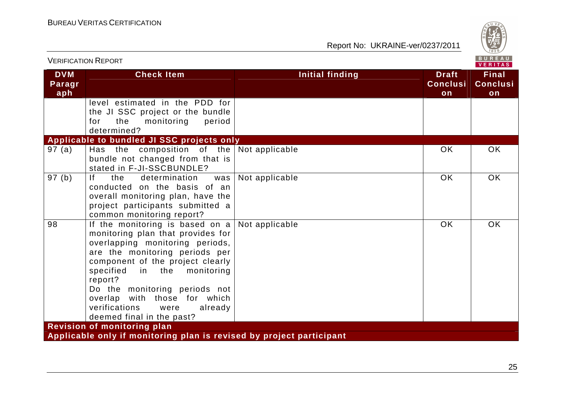

| <b>VERIFICATION REPORT</b>         |                                                                                                                                                                                                                                                                                                                                                                   |                        |                                       | BUREAU<br><b>VERITAS</b>              |  |  |
|------------------------------------|-------------------------------------------------------------------------------------------------------------------------------------------------------------------------------------------------------------------------------------------------------------------------------------------------------------------------------------------------------------------|------------------------|---------------------------------------|---------------------------------------|--|--|
| <b>DVM</b><br>Paragr<br>aph        | <b>Check Item</b>                                                                                                                                                                                                                                                                                                                                                 | <b>Initial finding</b> | <b>Draft</b><br><b>Conclusi</b><br>on | <b>Final</b><br><b>Conclusi</b><br>on |  |  |
|                                    | level estimated in the PDD for<br>the JI SSC project or the bundle<br>the<br>monitoring<br>period<br>for<br>determined?                                                                                                                                                                                                                                           |                        |                                       |                                       |  |  |
|                                    | Applicable to bundled JI SSC projects only                                                                                                                                                                                                                                                                                                                        |                        |                                       |                                       |  |  |
| 97(a)                              | Has the composition of the $\vert$ Not applicable<br>bundle not changed from that is<br>stated in F-JI-SSCBUNDLE?                                                                                                                                                                                                                                                 |                        | OK.                                   | <b>OK</b>                             |  |  |
| 97(b)                              | f <br>the<br>determination<br>was<br>conducted on the basis of an<br>overall monitoring plan, have the<br>project participants submitted a<br>common monitoring report?                                                                                                                                                                                           | Not applicable         | <b>OK</b>                             | <b>OK</b>                             |  |  |
| 98                                 | If the monitoring is based on $a$<br>monitoring plan that provides for<br>overlapping monitoring periods,<br>are the monitoring periods per<br>component of the project clearly<br>specified<br>monitoring<br>in the<br>report?<br>Do the monitoring periods not<br>overlap with those for which<br>verifications<br>were<br>already<br>deemed final in the past? | Not applicable         | <b>OK</b>                             | <b>OK</b>                             |  |  |
| <b>Revision of monitoring plan</b> |                                                                                                                                                                                                                                                                                                                                                                   |                        |                                       |                                       |  |  |
|                                    | Applicable only if monitoring plan is revised by project participant                                                                                                                                                                                                                                                                                              |                        |                                       |                                       |  |  |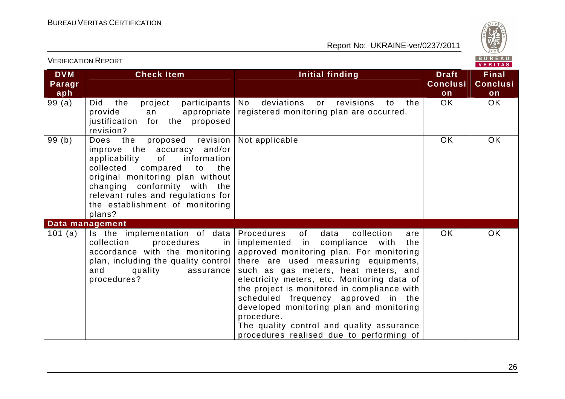

| <b>VERIFICATION REPORT</b><br>$\sim$ $\sim$ $\sim$ $\sim$ $\sim$ $\sim$<br>VERITAS |                                                                                                                                                                                                                                                                                                 |                                                                                                                                                                                                                                                                                                                                                                                                                                                                                                            |                                       |                                       |  |
|------------------------------------------------------------------------------------|-------------------------------------------------------------------------------------------------------------------------------------------------------------------------------------------------------------------------------------------------------------------------------------------------|------------------------------------------------------------------------------------------------------------------------------------------------------------------------------------------------------------------------------------------------------------------------------------------------------------------------------------------------------------------------------------------------------------------------------------------------------------------------------------------------------------|---------------------------------------|---------------------------------------|--|
| <b>DVM</b><br>Paragr<br>aph                                                        | <b>Check Item</b>                                                                                                                                                                                                                                                                               | Initial finding                                                                                                                                                                                                                                                                                                                                                                                                                                                                                            | <b>Draft</b><br><b>Conclusi</b><br>on | <b>Final</b><br><b>Conclusi</b><br>on |  |
| 99(a)                                                                              | project<br>participants<br>Did<br>the<br>provide<br>appropriate<br>an<br>justification<br>for the proposed<br>revision?                                                                                                                                                                         | deviations<br>revisions<br>No.<br>to<br>the<br>or<br>registered monitoring plan are occurred.                                                                                                                                                                                                                                                                                                                                                                                                              | <b>OK</b>                             | <b>OK</b>                             |  |
| 99(b)                                                                              | Does the<br>proposed revision<br>improve the accuracy and/or<br>information<br>applicability<br>of<br>collected<br>compared<br>to<br>the<br>original monitoring plan without<br>changing conformity with the<br>relevant rules and regulations for<br>the establishment of monitoring<br>plans? | Not applicable                                                                                                                                                                                                                                                                                                                                                                                                                                                                                             | <b>OK</b>                             | OK                                    |  |
|                                                                                    | Data management                                                                                                                                                                                                                                                                                 |                                                                                                                                                                                                                                                                                                                                                                                                                                                                                                            |                                       |                                       |  |
| 101 $(a)$                                                                          | Is the implementation of data<br>collection<br>procedures<br>in<br>accordance with the monitoring<br>plan, including the quality control<br>and<br>quality<br>assurance<br>procedures?                                                                                                          | Procedures<br>collection<br>of<br>data<br>are<br>implemented in compliance with<br>the<br>approved monitoring plan. For monitoring<br>there are used measuring equipments,<br>such as gas meters, heat meters, and<br>electricity meters, etc. Monitoring data of<br>the project is monitored in compliance with<br>scheduled frequency approved in the<br>developed monitoring plan and monitoring<br>procedure.<br>The quality control and quality assurance<br>procedures realised due to performing of | OK                                    | <b>OK</b>                             |  |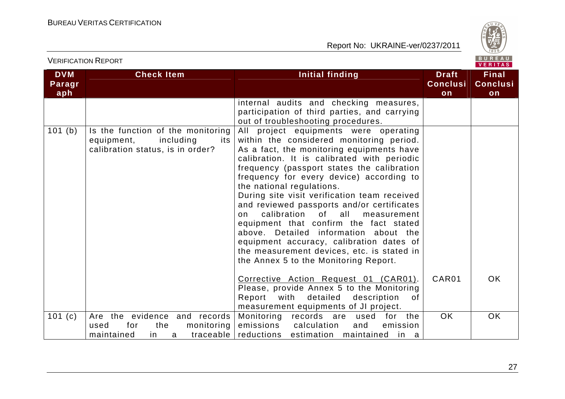

| <b>DVM</b><br>Paragr | <b>Check Item</b>                                                                                         | <b>Initial finding</b>                                                                                                                                                                                                                                                                                                                                                                                                                                                                                                                                                                                                                                              | <b>Draft</b><br><b>Conclusi</b> | <b>Final</b><br><b>Conclusi</b> |  |
|----------------------|-----------------------------------------------------------------------------------------------------------|---------------------------------------------------------------------------------------------------------------------------------------------------------------------------------------------------------------------------------------------------------------------------------------------------------------------------------------------------------------------------------------------------------------------------------------------------------------------------------------------------------------------------------------------------------------------------------------------------------------------------------------------------------------------|---------------------------------|---------------------------------|--|
| aph                  |                                                                                                           |                                                                                                                                                                                                                                                                                                                                                                                                                                                                                                                                                                                                                                                                     | on                              | on                              |  |
|                      |                                                                                                           | internal audits and checking measures,<br>participation of third parties, and carrying<br>out of troubleshooting procedures.                                                                                                                                                                                                                                                                                                                                                                                                                                                                                                                                        |                                 |                                 |  |
| 101 (b)              | Is the function of the monitoring<br>equipment,<br>including<br>its I<br>calibration status, is in order? | All project equipments were operating<br>within the considered monitoring period.<br>As a fact, the monitoring equipments have<br>calibration. It is calibrated with periodic<br>frequency (passport states the calibration<br>frequency for every device) according to<br>the national regulations.<br>During site visit verification team received<br>and reviewed passports and/or certificates<br>calibration of all<br>measurement<br>on<br>equipment that confirm the fact stated<br>above. Detailed information about the<br>equipment accuracy, calibration dates of<br>the measurement devices, etc. is stated in<br>the Annex 5 to the Monitoring Report. |                                 |                                 |  |
|                      |                                                                                                           | Corrective Action Request 01 (CAR01).<br>Please, provide Annex 5 to the Monitoring<br>Report with<br>detailed<br>description<br>of<br>measurement equipments of JI project.                                                                                                                                                                                                                                                                                                                                                                                                                                                                                         | CAR01                           | OK.                             |  |
| 101 $(c)$            | Are the evidence and records<br>monitoring<br>for<br>the<br>used<br>maintained<br>in.<br>a                | Monitoring records are used<br>for the<br>emissions<br>calculation<br>and<br>emission<br>traceable reductions estimation maintained<br>in a                                                                                                                                                                                                                                                                                                                                                                                                                                                                                                                         | <b>OK</b>                       | <b>OK</b>                       |  |

VERIFICATION REPORT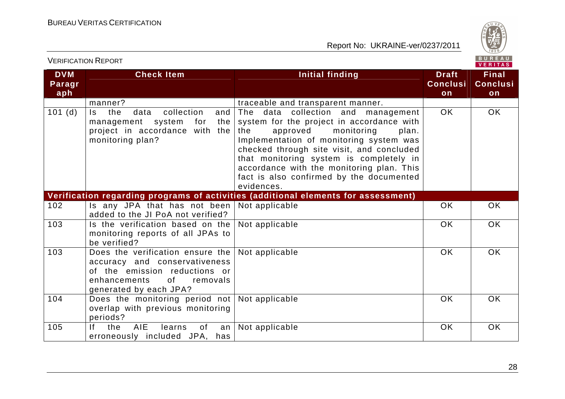VERIFICATION REPORT



| <b>DVM</b><br>Paragr<br>aph | <b>Check Item</b>                                                                                                                                              | <b>Initial finding</b>                                                                                                                                                                                                                                                                                                                                              | <b>Draft</b><br><b>Conclusi</b><br>on | <b>Final</b><br><b>Conclusi</b><br>on |
|-----------------------------|----------------------------------------------------------------------------------------------------------------------------------------------------------------|---------------------------------------------------------------------------------------------------------------------------------------------------------------------------------------------------------------------------------------------------------------------------------------------------------------------------------------------------------------------|---------------------------------------|---------------------------------------|
|                             | manner?                                                                                                                                                        | traceable and transparent manner.                                                                                                                                                                                                                                                                                                                                   |                                       |                                       |
| 101(d)                      | the<br>collection<br>Is.<br>data<br>and<br>management system<br>for<br>the<br>project in accordance with the<br>monitoring plan?                               | The data collection and management<br>system for the project in accordance with<br>the<br>approved<br>monitoring<br>plan.<br>Implementation of monitoring system was<br>checked through site visit, and concluded<br>that monitoring system is completely in<br>accordance with the monitoring plan. This<br>fact is also confirmed by the documented<br>evidences. | <b>OK</b>                             | OK                                    |
|                             |                                                                                                                                                                | Verification regarding programs of activities (additional elements for assessment)                                                                                                                                                                                                                                                                                  |                                       |                                       |
| 102                         | Is any JPA that has not been<br>added to the JI PoA not verified?                                                                                              | Not applicable                                                                                                                                                                                                                                                                                                                                                      | OK                                    | <b>OK</b>                             |
| 103                         | Is the verification based on the<br>monitoring reports of all JPAs to<br>be verified?                                                                          | Not applicable                                                                                                                                                                                                                                                                                                                                                      | <b>OK</b>                             | <b>OK</b>                             |
| 103                         | Does the verification ensure the<br>accuracy and conservativeness<br>of the emission reductions or<br>enhancements<br>of<br>removals<br>generated by each JPA? | Not applicable                                                                                                                                                                                                                                                                                                                                                      | <b>OK</b>                             | <b>OK</b>                             |
| 104                         | Does the monitoring period not<br>overlap with previous monitoring<br>periods?                                                                                 | Not applicable                                                                                                                                                                                                                                                                                                                                                      | OK                                    | <b>OK</b>                             |
| 105                         | <b>AIE</b><br>lf -<br>the<br>learns<br>of<br>an<br>erroneously included JPA, has                                                                               | Not applicable                                                                                                                                                                                                                                                                                                                                                      | OK                                    | OK                                    |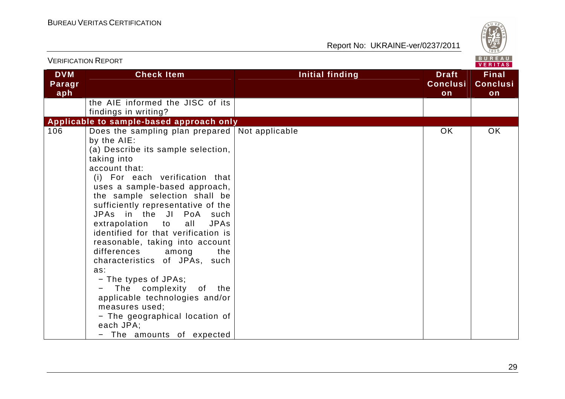

|                             | <b>VERIFICATION REPORT</b>                                                                                                                                                                                                                                                                                                                                                                                                                                                                                                                                                                                                                                                           | BUREAU<br><b>VERITAS</b> |                                       |                                       |  |
|-----------------------------|--------------------------------------------------------------------------------------------------------------------------------------------------------------------------------------------------------------------------------------------------------------------------------------------------------------------------------------------------------------------------------------------------------------------------------------------------------------------------------------------------------------------------------------------------------------------------------------------------------------------------------------------------------------------------------------|--------------------------|---------------------------------------|---------------------------------------|--|
| <b>DVM</b><br>Paragr<br>aph | <b>Check Item</b>                                                                                                                                                                                                                                                                                                                                                                                                                                                                                                                                                                                                                                                                    | <b>Initial finding</b>   | <b>Draft</b><br><b>Conclusi</b><br>on | <b>Final</b><br><b>Conclusi</b><br>on |  |
|                             | the AIE informed the JISC of its<br>findings in writing?                                                                                                                                                                                                                                                                                                                                                                                                                                                                                                                                                                                                                             |                          |                                       |                                       |  |
|                             | Applicable to sample-based approach only                                                                                                                                                                                                                                                                                                                                                                                                                                                                                                                                                                                                                                             |                          |                                       |                                       |  |
| 106                         | Does the sampling plan prepared Not applicable<br>by the AIE:<br>(a) Describe its sample selection,<br>taking into<br>account that:<br>(i) For each verification that<br>uses a sample-based approach,<br>the sample selection shall be<br>sufficiently representative of the<br>JPAs in the JI PoA such<br>extrapolation<br><b>JPAs</b><br>to<br>all<br>identified for that verification is<br>reasonable, taking into account<br>differences among<br>the<br>characteristics of JPAs, such<br>as:<br>- The types of JPAs;<br>The complexity of the<br>applicable technologies and/or<br>measures used;<br>- The geographical location of<br>each JPA;<br>- The amounts of expected |                          | <b>OK</b>                             | OK                                    |  |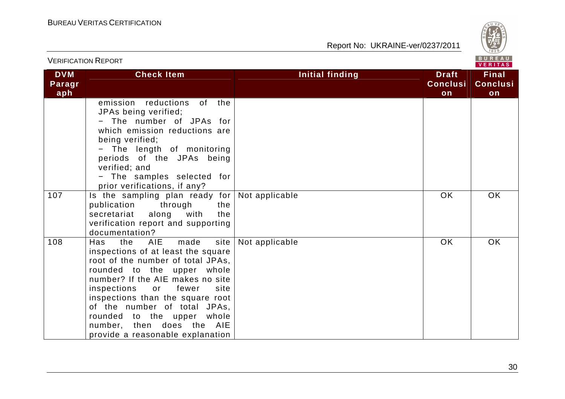

| <b>VERIFICATION REPORT</b>  |                                                                                                                                                                                                                                                                                                                                                                                         |                        |                                       | BUREAU<br>VERITAS                     |
|-----------------------------|-----------------------------------------------------------------------------------------------------------------------------------------------------------------------------------------------------------------------------------------------------------------------------------------------------------------------------------------------------------------------------------------|------------------------|---------------------------------------|---------------------------------------|
| <b>DVM</b><br>Paragr<br>aph | <b>Check Item</b>                                                                                                                                                                                                                                                                                                                                                                       | <b>Initial finding</b> | <b>Draft</b><br><b>Conclusi</b><br>on | <b>Final</b><br><b>Conclusi</b><br>on |
|                             | emission reductions<br>of<br>the<br>JPAs being verified;<br>- The number of JPAs for<br>which emission reductions are<br>being verified;<br>The length of monitoring<br>periods of the JPAs being<br>verified; and<br>- The samples selected for<br>prior verifications, if any?                                                                                                        |                        |                                       |                                       |
| 107                         | Is the sampling plan ready for<br>through<br>publication<br>the<br>with<br>the<br>secretariat<br>along<br>verification report and supporting<br>documentation?                                                                                                                                                                                                                          | Not applicable         | <b>OK</b>                             | OK                                    |
| 108                         | AIE<br>made<br>site<br>Has<br>the<br>inspections of at least the square<br>root of the number of total JPAs,<br>rounded to the upper whole<br>number? If the AIE makes no site<br>inspections<br>fewer<br>site<br>or<br>inspections than the square root<br>of the number of total JPAs,<br>rounded to the upper whole<br>number, then does the AIE<br>provide a reasonable explanation | Not applicable         | <b>OK</b>                             | OK                                    |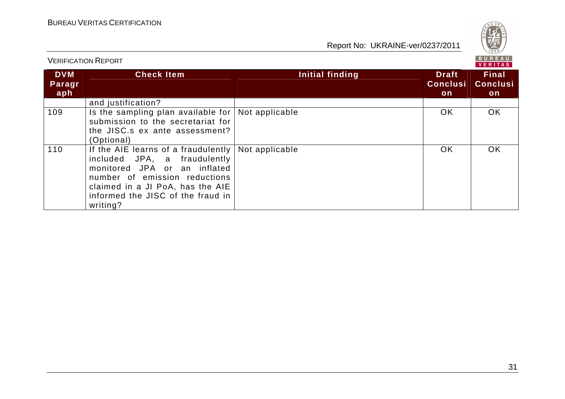

|                             |                                                                                                                                                                                                                                                  | VERIIAS         |                                       |                                        |  |  |
|-----------------------------|--------------------------------------------------------------------------------------------------------------------------------------------------------------------------------------------------------------------------------------------------|-----------------|---------------------------------------|----------------------------------------|--|--|
| <b>DVM</b><br>Paragr<br>aph | <b>Check Item</b>                                                                                                                                                                                                                                | Initial finding | <b>Draft</b><br><b>Conclusi</b><br>on | <b>Final</b><br><b>Conclusi</b><br>on. |  |  |
|                             | and justification?                                                                                                                                                                                                                               |                 |                                       |                                        |  |  |
| 109                         | Is the sampling plan available for $\vert$ Not applicable<br>submission to the secretariat for<br>the JISC.s ex ante assessment?<br>(Optional)                                                                                                   |                 | OK.                                   | OK.                                    |  |  |
| 110                         | If the AIE learns of a fraudulently $\vert$ Not applicable<br>included JPA, a fraudulently<br>monitored JPA or an inflated<br>number of emission reductions<br>claimed in a JI PoA, has the AIE<br>informed the JISC of the fraud in<br>writing? |                 | OK.                                   | OK.                                    |  |  |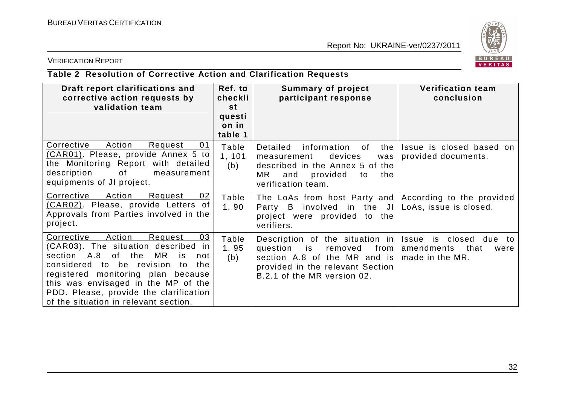

### VERIFICATION REPORT

# **Table 2 Resolution of Corrective Action and Clarification Requests**

| Draft report clarifications and<br>corrective action requests by<br>validation team                                                                                                                                                                                                                                                      | Ref. to<br>checkli<br>st   | <b>Summary of project</b><br>participant response                                                                                                                           | <b>Verification team</b><br>conclusion                                      |
|------------------------------------------------------------------------------------------------------------------------------------------------------------------------------------------------------------------------------------------------------------------------------------------------------------------------------------------|----------------------------|-----------------------------------------------------------------------------------------------------------------------------------------------------------------------------|-----------------------------------------------------------------------------|
|                                                                                                                                                                                                                                                                                                                                          | questi<br>on in<br>table 1 |                                                                                                                                                                             |                                                                             |
| Corrective<br>Action<br>Request<br>01<br>(CAR01). Please, provide Annex 5 to<br>the Monitoring Report with detailed<br>description<br>of<br>measurement<br>equipments of JI project.                                                                                                                                                     | Table<br>1, 101<br>(b)     | Detailed<br>information of<br>the<br>devices<br>measurement<br>was<br>described in the Annex 5 of the<br>MR.<br>provided<br>and<br>the<br>to<br>verification team.          | Issue is closed based on<br>provided documents.                             |
| Corrective<br>Action<br>02<br>Request<br>(CAR02). Please, provide Letters of<br>Approvals from Parties involved in the<br>project.                                                                                                                                                                                                       | Table<br>1,90              | The LoAs from host Party and According to the provided<br>Party B involved in the $JI $<br>project were provided to the<br>verifiers.                                       | LoAs, issue is closed.                                                      |
| Action<br>Corrective<br>Request<br>03<br>(CAR03). The situation described<br>in<br>section A.8<br>of the<br>MR<br>is<br>not<br>considered<br>to be revision<br>the<br>to<br>registered monitoring plan because<br>this was envisaged in the MP of the<br>PDD. Please, provide the clarification<br>of the situation in relevant section. | Table<br>1,95<br>(b)       | Description of the situation in<br>from $ $<br>question<br>is<br>removed<br>section A.8 of the MR and is<br>provided in the relevant Section<br>B.2.1 of the MR version 02. | Issue is closed due<br>to:<br>amendments<br>that<br>were<br>made in the MR. |